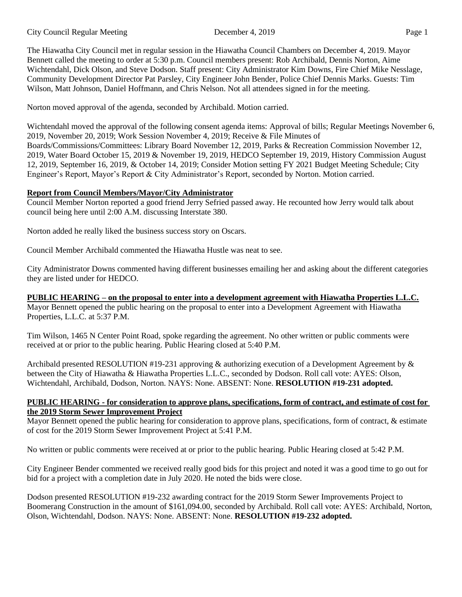The Hiawatha City Council met in regular session in the Hiawatha Council Chambers on December 4, 2019. Mayor Bennett called the meeting to order at 5:30 p.m. Council members present: Rob Archibald, Dennis Norton, Aime Wichtendahl, Dick Olson, and Steve Dodson. Staff present: City Administrator Kim Downs, Fire Chief Mike Nesslage, Community Development Director Pat Parsley, City Engineer John Bender, Police Chief Dennis Marks. Guests: Tim Wilson, Matt Johnson, Daniel Hoffmann, and Chris Nelson. Not all attendees signed in for the meeting.

Norton moved approval of the agenda, seconded by Archibald. Motion carried.

Wichtendahl moved the approval of the following consent agenda items: Approval of bills; Regular Meetings November 6, 2019, November 20, 2019; Work Session November 4, 2019; Receive & File Minutes of Boards/Commissions/Committees: Library Board November 12, 2019, Parks & Recreation Commission November 12, 2019, Water Board October 15, 2019 & November 19, 2019, HEDCO September 19, 2019, History Commission August 12, 2019, September 16, 2019, & October 14, 2019; Consider Motion setting FY 2021 Budget Meeting Schedule; City Engineer's Report, Mayor's Report & City Administrator's Report, seconded by Norton. Motion carried.

# **Report from Council Members/Mayor/City Administrator**

Council Member Norton reported a good friend Jerry Sefried passed away. He recounted how Jerry would talk about council being here until 2:00 A.M. discussing Interstate 380.

Norton added he really liked the business success story on Oscars.

Council Member Archibald commented the Hiawatha Hustle was neat to see.

City Administrator Downs commented having different businesses emailing her and asking about the different categories they are listed under for HEDCO.

# **PUBLIC HEARING – on the proposal to enter into a development agreement with Hiawatha Properties L.L.C.**

Mayor Bennett opened the public hearing on the proposal to enter into a Development Agreement with Hiawatha Properties, L.L.C. at 5:37 P.M.

Tim Wilson, 1465 N Center Point Road, spoke regarding the agreement. No other written or public comments were received at or prior to the public hearing. Public Hearing closed at 5:40 P.M.

Archibald presented RESOLUTION #19-231 approving & authorizing execution of a Development Agreement by & between the City of Hiawatha & Hiawatha Properties L.L.C., seconded by Dodson. Roll call vote: AYES: Olson, Wichtendahl, Archibald, Dodson, Norton. NAYS: None. ABSENT: None. **RESOLUTION #19-231 adopted.** 

### **PUBLIC HEARING - for consideration to approve plans, specifications, form of contract, and estimate of cost for the 2019 Storm Sewer Improvement Project**

Mayor Bennett opened the public hearing for consideration to approve plans, specifications, form of contract, & estimate of cost for the 2019 Storm Sewer Improvement Project at 5:41 P.M.

No written or public comments were received at or prior to the public hearing. Public Hearing closed at 5:42 P.M.

City Engineer Bender commented we received really good bids for this project and noted it was a good time to go out for bid for a project with a completion date in July 2020. He noted the bids were close.

Dodson presented RESOLUTION #19-232 awarding contract for the 2019 Storm Sewer Improvements Project to Boomerang Construction in the amount of \$161,094.00, seconded by Archibald. Roll call vote: AYES: Archibald, Norton, Olson, Wichtendahl, Dodson. NAYS: None. ABSENT: None. **RESOLUTION #19-232 adopted.**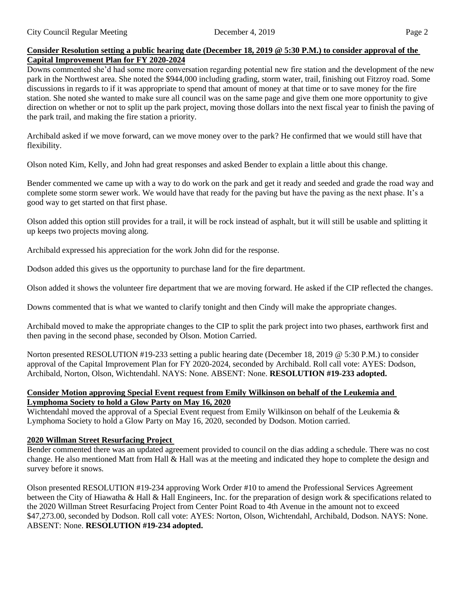### **Consider Resolution setting a public hearing date (December 18, 2019 @ 5:30 P.M.) to consider approval of the Capital Improvement Plan for FY 2020-2024**

Downs commented she'd had some more conversation regarding potential new fire station and the development of the new park in the Northwest area. She noted the \$944,000 including grading, storm water, trail, finishing out Fitzroy road. Some discussions in regards to if it was appropriate to spend that amount of money at that time or to save money for the fire station. She noted she wanted to make sure all council was on the same page and give them one more opportunity to give direction on whether or not to split up the park project, moving those dollars into the next fiscal year to finish the paving of the park trail, and making the fire station a priority.

Archibald asked if we move forward, can we move money over to the park? He confirmed that we would still have that flexibility.

Olson noted Kim, Kelly, and John had great responses and asked Bender to explain a little about this change.

Bender commented we came up with a way to do work on the park and get it ready and seeded and grade the road way and complete some storm sewer work. We would have that ready for the paving but have the paving as the next phase. It's a good way to get started on that first phase.

Olson added this option still provides for a trail, it will be rock instead of asphalt, but it will still be usable and splitting it up keeps two projects moving along.

Archibald expressed his appreciation for the work John did for the response.

Dodson added this gives us the opportunity to purchase land for the fire department.

Olson added it shows the volunteer fire department that we are moving forward. He asked if the CIP reflected the changes.

Downs commented that is what we wanted to clarify tonight and then Cindy will make the appropriate changes.

Archibald moved to make the appropriate changes to the CIP to split the park project into two phases, earthwork first and then paving in the second phase, seconded by Olson. Motion Carried.

Norton presented RESOLUTION #19-233 setting a public hearing date (December 18, 2019 @ 5:30 P.M.) to consider approval of the Capital Improvement Plan for FY 2020-2024, seconded by Archibald. Roll call vote: AYES: Dodson, Archibald, Norton, Olson, Wichtendahl. NAYS: None. ABSENT: None. **RESOLUTION #19-233 adopted.**

### **Consider Motion approving Special Event request from Emily Wilkinson on behalf of the Leukemia and Lymphoma Society to hold a Glow Party on May 16, 2020**

Wichtendahl moved the approval of a Special Event request from Emily Wilkinson on behalf of the Leukemia & Lymphoma Society to hold a Glow Party on May 16, 2020, seconded by Dodson. Motion carried.

# **2020 Willman Street Resurfacing Project**

Bender commented there was an updated agreement provided to council on the dias adding a schedule. There was no cost change. He also mentioned Matt from Hall & Hall was at the meeting and indicated they hope to complete the design and survey before it snows.

Olson presented RESOLUTION #19-234 approving Work Order #10 to amend the Professional Services Agreement between the City of Hiawatha & Hall & Hall Engineers, Inc. for the preparation of design work & specifications related to the 2020 Willman Street Resurfacing Project from Center Point Road to 4th Avenue in the amount not to exceed \$47,273.00, seconded by Dodson. Roll call vote: AYES: Norton, Olson, Wichtendahl, Archibald, Dodson. NAYS: None. ABSENT: None. **RESOLUTION #19-234 adopted.**